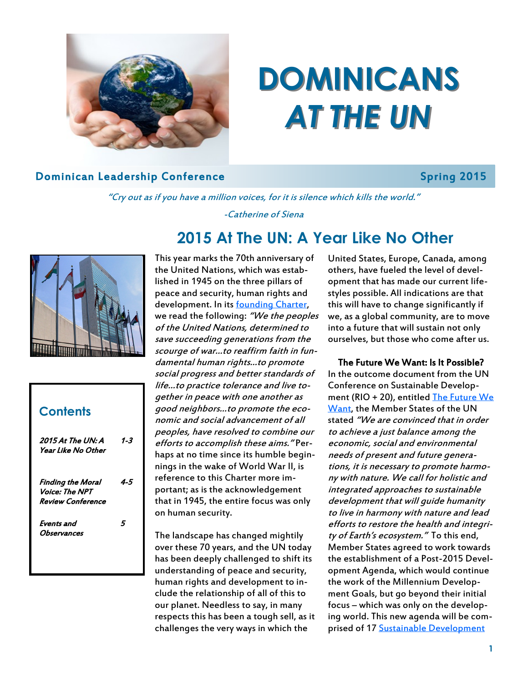

# **DOMINICANS**  *AT THE UN*

#### **Dominican Leadership Conference Spring 2015**

"Cry out as if you have a million voices, for it is silence which kills the world."

-Catherine of Siena



### 2015 At The UN: A Year Like No Other 1-3 Finding the Moral Voice: The NPT Review Conference 4-5 Events and **Observances** 5 **Contents**

### **2015 At The UN: A Year Like No Other**

This year marks the 70th anniversary of the United Nations, which was established in 1945 on the three pillars of peace and security, human rights and development. In its founding Charter, we read the following: "We the peoples of the United Nations, determined to save succeeding generations from the scourge of war…to reaffirm faith in fundamental human rights…to promote social progress and better standards of life…to practice tolerance and live together in peace with one another as good neighbors…to promote the economic and social advancement of all peoples, have resolved to combine our efforts to accomplish these aims." Perhaps at no time since its humble beginnings in the wake of World War II, is reference to this Charter more important; as is the acknowledgement that in 1945, the entire focus was only on human security.

The landscape has changed mightily over these 70 years, and the UN today has been deeply challenged to shift its understanding of peace and security, human rights and development to include the relationship of all of this to our planet. Needless to say, in many respects this has been a tough sell, as it challenges the very ways in which the

United States, Europe, Canada, among others, have fueled the level of development that has made our current lifestyles possible. All indications are that this will have to change significantly if we, as a global community, are to move into a future that will sustain not only ourselves, but those who come after us.

#### The Future We Want: Is It Possible?

In the outcome document from the UN Conference on Sustainable Development (RIO + 20), entitled [The Future We](https://rio20.un.org/sites/rio20.un.org/files/a-conf.216l-1_english.pdf.pdf)  [Want,](https://rio20.un.org/sites/rio20.un.org/files/a-conf.216l-1_english.pdf.pdf) the Member States of the UN stated "We are convinced that in order to achieve a just balance among the economic, social and environmental needs of present and future generations, it is necessary to promote harmony with nature. We call for holistic and integrated approaches to sustainable development that will guide humanity to live in harmony with nature and lead efforts to restore the health and integrity of Earth's ecosystem." To this end, Member States agreed to work towards the establishment of a Post-2015 Development Agenda, which would continue the work of the Millennium Development Goals, but go beyond their initial focus – which was only on the developing world. This new agenda will be comprised of 17 [Sustainable Development](https://sustainabledevelopment.un.org/sdgsproposal)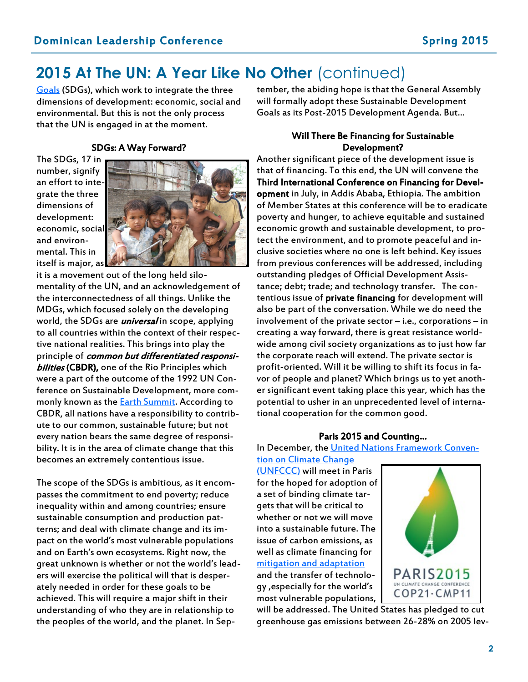### 2015 At The UN: A Year Like No Other (continued)

[Goals](https://sustainabledevelopment.un.org/sdgsproposal) (SDGs), which work to integrate the three dimensions of development: economic, social and environmental. But this is not the only process that the UN is engaged in at the moment.

#### SDGs: A Way Forward?

The SDGs, 17 in number, signify an effort to integrate the three dimensions of development: economic, social and environmental. This in itself is major, as



it is a movement out of the long held silomentality of the UN, and an acknowledgement of the interconnectedness of all things. Unlike the MDGs, which focused solely on the developing world, the SDGs are *universal* in scope, applying to all countries within the context of their respective national realities. This brings into play the principle of common but differentiated responsi**bilities (CBDR), one of the Rio Principles which** were a part of the outcome of the 1992 UN Conference on Sustainable Development, more commonly known as the **Earth Summit**. According to CBDR, all nations have a responsibility to contribute to our common, sustainable future; but not every nation bears the same degree of responsibility. It is in the area of climate change that this becomes an extremely contentious issue.

The scope of the SDGs is ambitious, as it encompasses the commitment to end poverty; reduce inequality within and among countries; ensure sustainable consumption and production patterns; and deal with climate change and its impact on the world's most vulnerable populations and on Earth's own ecosystems. Right now, the great unknown is whether or not the world's leaders will exercise the political will that is desperately needed in order for these goals to be achieved. This will require a major shift in their understanding of who they are in relationship to the peoples of the world, and the planet. In September, the abiding hope is that the General Assembly will formally adopt these Sustainable Development Goals as its Post-2015 Development Agenda. But…

#### Will There Be Financing for Sustainable Development?

Another significant piece of the development issue is that of financing. To this end, the UN will convene the Third International Conference on Financing for Development in July, in Addis Ababa, Ethiopia. The ambition of Member States at this conference will be to eradicate poverty and hunger, to achieve equitable and sustained economic growth and sustainable development, to protect the environment, and to promote peaceful and inclusive societies where no one is left behind. Key issues from previous conferences will be addressed, including outstanding pledges of Official Development Assistance; debt; trade; and technology transfer. The contentious issue of private financing for development will also be part of the conversation. While we do need the involvement of the private sector – i.e., corporations – in creating a way forward, there is great resistance worldwide among civil society organizations as to just how far the corporate reach will extend. The private sector is profit-oriented. Will it be willing to shift its focus in favor of people and planet? Which brings us to yet another significant event taking place this year, which has the potential to usher in an unprecedented level of international cooperation for the common good.

#### Paris 2015 and Counting…

In December, the [United Nations Framework Conven-](http://unfccc.int/2860.php)

[tion on Climate Change](http://unfccc.int/2860.php)  [\(UNFCCC\)](http://unfccc.int/2860.php) will meet in Paris for the hoped for adoption of a set of binding climate targets that will be critical to whether or not we will move into a sustainable future. The issue of carbon emissions, as well as climate financing for [mitigation and adaptation](http://news.gcfund.org/) and the transfer of technology ,especially for the world's most vulnerable populations,



will be addressed. The United States has pledged to cut greenhouse gas emissions between 26-28% on 2005 lev-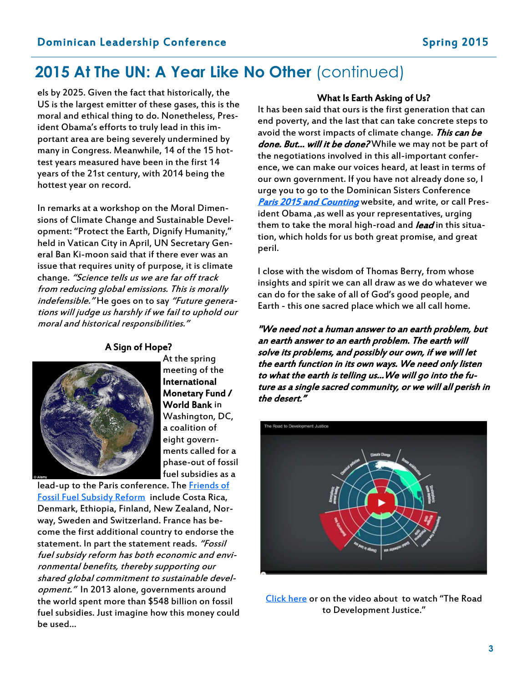### **2015 At The UN: A Year Like No Other** (continued)

els by 2025. Given the fact that historically, the US is the largest emitter of these gases, this is the moral and ethical thing to do. Nonetheless, President Obama's efforts to truly lead in this important area are being severely undermined by many in Congress. Meanwhile, 14 of the 15 hottest years measured have been in the first 14 years of the 21st century, with 2014 being the hottest year on record.

In remarks at a workshop on the Moral Dimensions of Climate Change and Sustainable Development: "Protect the Earth, Dignify Humanity," held in Vatican City in April, UN Secretary General Ban Ki-moon said that if there ever was an issue that requires unity of purpose, it is climate change. "Science tells us we are far off track from reducing global emissions. This is morally indefensible." He goes on to say "Future generations will judge us harshly if we fail to uphold our moral and historical responsibilities."

#### A Sign of Hope?



At the spring meeting of the International Monetary Fund / World Bank in Washington, DC, a coalition of eight governments called for a phase-out of fossil fuel subsidies as a

lead-up to the Paris conference. The Friends of [Fossil Fuel Subsidy Reform](http://www.mfat.govt.nz/fffsr/) include Costa Rica, Denmark, Ethiopia, Finland, New Zealand, Norway, Sweden and Switzerland. France has become the first additional country to endorse the statement. In part the statement reads. "Fossil fuel subsidy reform has both economic and environmental benefits, thereby supporting our shared global commitment to sustainable development." In 2013 alone, governments around the world spent more than \$548 billion on fossil fuel subsidies. Just imagine how this money could be used…

#### What Is Earth Asking of Us?

It has been said that ours is the first generation that can end poverty, and the last that can take concrete steps to avoid the worst impacts of climate change. This can be done. But... will it be done? While we may not be part of the negotiations involved in this all-important conference, we can make our voices heard, at least in terms of our own government. If you have not already done so, I urge you to go to the Dominican Sisters Conference [Paris 2015 and Counting](http://paris2015andcounting.org/) website, and write, or call President Obama ,as well as your representatives, urging them to take the moral high-road and *lead* in this situation, which holds for us both great promise, and great peril.

I close with the wisdom of Thomas Berry, from whose insights and spirit we can all draw as we do whatever we can do for the sake of all of God's good people, and Earth - this one sacred place which we all call home.

"We need not a human answer to an earth problem, but an earth answer to an earth problem. The earth will solve its problems, and possibly our own, if we will let the earth function in its own ways. We need only listen to what the earth is telling us…We will go into the future as a single sacred community, or we will all perish in the desert."



[Click here](https://www.youtube.com/watch?v=1I2cEDbIW04&app=desktop) or on the video about to watch "The Road to Development Justice."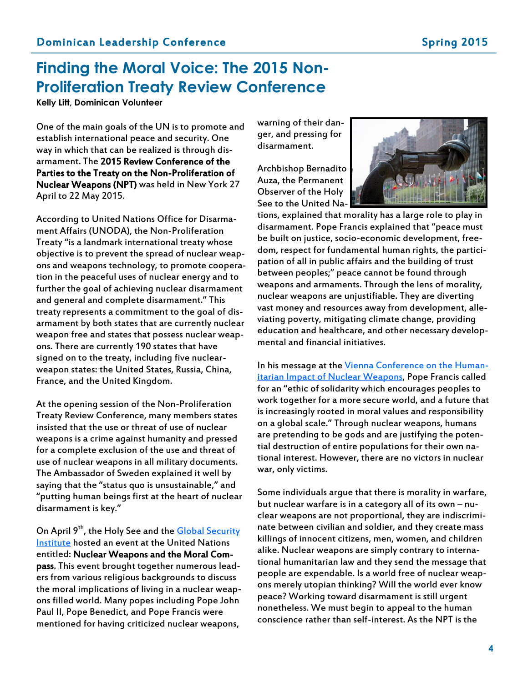### **Finding the Moral Voice: The 2015 Non-Proliferation Treaty Review Conference**

**Kelly Litt, Dominican Volunteer**

One of the main goals of the UN is to promote and establish international peace and security. One way in which that can be realized is through disarmament. The 2015 Review Conference of the Parties to the Treaty on the Non-Proliferation of Nuclear Weapons (NPT) was held in New York 27 April to 22 May 2015.

According to United Nations Office for Disarmament Affairs (UNODA), the Non-Proliferation Treaty "is a landmark international treaty whose objective is to prevent the spread of nuclear weapons and weapons technology, to promote cooperation in the peaceful uses of nuclear energy and to further the goal of achieving nuclear disarmament and general and complete disarmament." This treaty represents a commitment to the goal of disarmament by both states that are currently nuclear weapon free and states that possess nuclear weapons. There are currently 190 states that have signed on to the treaty, including five nuclearweapon states: the United States, Russia, China, France, and the United Kingdom.

At the opening session of the Non-Proliferation Treaty Review Conference, many members states insisted that the use or threat of use of nuclear weapons is a crime against humanity and pressed for a complete exclusion of the use and threat of use of nuclear weapons in all military documents. The Ambassador of Sweden explained it well by saying that the "status quo is unsustainable," and "putting human beings first at the heart of nuclear disarmament is key."

On April 9<sup>th</sup>, the Holy See and the **Global Security** [Institute](http://gsinstitute.org/) hosted an event at the United Nations entitled: Nuclear Weapons and the Moral Compass. This event brought together numerous leaders from various religious backgrounds to discuss the moral implications of living in a nuclear weapons filled world. Many popes including Pope John Paul II, Pope Benedict, and Pope Francis were mentioned for having criticized nuclear weapons,

warning of their danger, and pressing for disarmament.

Archbishop Bernadito Auza, the Permanent Observer of the Holy See to the United Na-



tions, explained that morality has a large role to play in disarmament. Pope Francis explained that "peace must be built on justice, socio-economic development, freedom, respect for fundamental human rights, the participation of all in public affairs and the building of trust between peoples;" peace cannot be found through weapons and armaments. Through the lens of morality, nuclear weapons are unjustifiable. They are diverting vast money and resources away from development, alleviating poverty, mitigating climate change, providing education and healthcare, and other necessary developmental and financial initiatives.

In his message at the [Vienna Conference on the Human](https://w2.vatican.va/content/francesco/en/messages/pont-messages/2014/documents/papa-francesco_20141207_messaggio-conferenza-vienna-nucleare.html)itarian Impact of Nuclear [Weapons,](https://w2.vatican.va/content/francesco/en/messages/pont-messages/2014/documents/papa-francesco_20141207_messaggio-conferenza-vienna-nucleare.html) Pope Francis called for an "ethic of solidarity which encourages peoples to work together for a more secure world, and a future that is increasingly rooted in moral values and responsibility on a global scale." Through nuclear weapons, humans are pretending to be gods and are justifying the potential destruction of entire populations for their own national interest. However, there are no victors in nuclear war, only victims.

Some individuals argue that there is morality in warfare, but nuclear warfare is in a category all of its own – nuclear weapons are not proportional, they are indiscriminate between civilian and soldier, and they create mass killings of innocent citizens, men, women, and children alike. Nuclear weapons are simply contrary to international humanitarian law and they send the message that people are expendable. Is a world free of nuclear weapons merely utopian thinking? Will the world ever know peace? Working toward disarmament is still urgent nonetheless. We must begin to appeal to the human conscience rather than self-interest. As the NPT is the